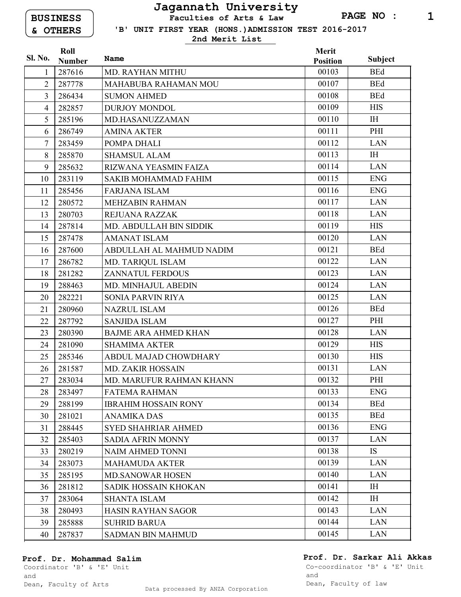BUSINESS & OTHERS

## Jagannath University Faculties of Arts & Law

'B' UNIT FIRST YEAR (HONS.)ADMISSION TEST 2016-2017

2nd Merit List

|                | Roll          |                             | <b>Merit</b>    |                |
|----------------|---------------|-----------------------------|-----------------|----------------|
| Sl. No.        | <b>Number</b> | Name                        | <b>Position</b> | Subject        |
|                | 287616        | <b>MD. RAYHAN MITHU</b>     | 00103           | <b>BEd</b>     |
| $\overline{2}$ | 287778        | <b>MAHABUBA RAHAMAN MOU</b> | 00107           | <b>BEd</b>     |
| $\overline{3}$ | 286434        | <b>SUMON AHMED</b>          | 00108           | <b>BEd</b>     |
| $\overline{4}$ | 282857        | <b>DURJOY MONDOL</b>        | 00109           | <b>HIS</b>     |
| 5              | 285196        | MD.HASANUZZAMAN             | 00110           | I <sub>H</sub> |
| 6              | 286749        | <b>AMINA AKTER</b>          | 00111           | PHI            |
| 7              | 283459        | POMPA DHALI                 | 00112           | <b>LAN</b>     |
| 8              | 285870        | <b>SHAMSUL ALAM</b>         | 00113           | I <sub>H</sub> |
| 9              | 285632        | RIZWANA YEASMIN FAIZA       | 00114           | <b>LAN</b>     |
| 10             | 283119        | <b>SAKIB MOHAMMAD FAHIM</b> | 00115           | <b>ENG</b>     |
| 11             | 285456        | <b>FARJANA ISLAM</b>        | 00116           | <b>ENG</b>     |
| 12             | 280572        | <b>MEHZABIN RAHMAN</b>      | 00117           | <b>LAN</b>     |
| 13             | 280703        | REJUANA RAZZAK              | 00118           | <b>LAN</b>     |
| 14             | 287814        | MD. ABDULLAH BIN SIDDIK     | 00119           | <b>HIS</b>     |
| 15             | 287478        | <b>AMANAT ISLAM</b>         | 00120           | <b>LAN</b>     |
| 16             | 287600        | ABDULLAH AL MAHMUD NADIM    | 00121           | <b>BEd</b>     |
| 17             | 286782        | MD. TARIQUL ISLAM           | 00122           | <b>LAN</b>     |
| 18             | 281282        | <b>ZANNATUL FERDOUS</b>     | 00123           | <b>LAN</b>     |
| 19             | 288463        | MD. MINHAJUL ABEDIN         | 00124           | <b>LAN</b>     |
| 20             | 282221        | <b>SONIA PARVIN RIYA</b>    | 00125           | <b>LAN</b>     |
| 21             | 280960        | <b>NAZRUL ISLAM</b>         | 00126           | <b>BEd</b>     |
| 22             | 287792        | <b>SANJIDA ISLAM</b>        | 00127           | PHI            |
| 23             | 280390        | <b>BAJME ARA AHMED KHAN</b> | 00128           | <b>LAN</b>     |
| 24             | 281090        | <b>SHAMIMA AKTER</b>        | 00129           | <b>HIS</b>     |
| 25             | 285346        | ABDUL MAJAD CHOWDHARY       | 00130           | <b>HIS</b>     |
| 26             | 281587        | <b>MD. ZAKIR HOSSAIN</b>    | 00131           | <b>LAN</b>     |
| 27             | 283034        | MD. MARUFUR RAHMAN KHANN    | 00132           | PHI            |
| 28             | 283497        | <b>FATEMA RAHMAN</b>        | 00133           | <b>ENG</b>     |
| 29             | 288199        | <b>IBRAHIM HOSSAIN RONY</b> | 00134           | <b>BEd</b>     |
| 30             | 281021        | <b>ANAMIKA DAS</b>          | 00135           | <b>BEd</b>     |
| 31             | 288445        | <b>SYED SHAHRIAR AHMED</b>  | 00136           | <b>ENG</b>     |
| 32             | 285403        | <b>SADIA AFRIN MONNY</b>    | 00137           | <b>LAN</b>     |
| 33             | 280219        | <b>NAIM AHMED TONNI</b>     | 00138           | <b>IS</b>      |
| 34             | 283073        | <b>MAHAMUDA AKTER</b>       | 00139           | <b>LAN</b>     |
| 35             | 285195        | <b>MD.SANOWAR HOSEN</b>     | 00140           | <b>LAN</b>     |
| 36             | 281812        | SADIK HOSSAIN KHOKAN        | 00141           | IH             |
| 37             | 283064        | <b>SHANTA ISLAM</b>         | 00142           | I <sub>H</sub> |
| 38             | 280493        | <b>HASIN RAYHAN SAGOR</b>   | 00143           | LAN            |
| 39             | 285888        | <b>SUHRID BARUA</b>         | 00144           | <b>LAN</b>     |
| 40             | 287837        | <b>SADMAN BIN MAHMUD</b>    | 00145           | LAN            |

## Prof. Dr. Mohammad Salim

## Prof. Dr. Sarkar Ali Akkas

Coordinator 'B' & 'E' Unit and Dean, Faculty of Arts

Co-coordinator 'B' & 'E' Unit and Dean, Faculty of law